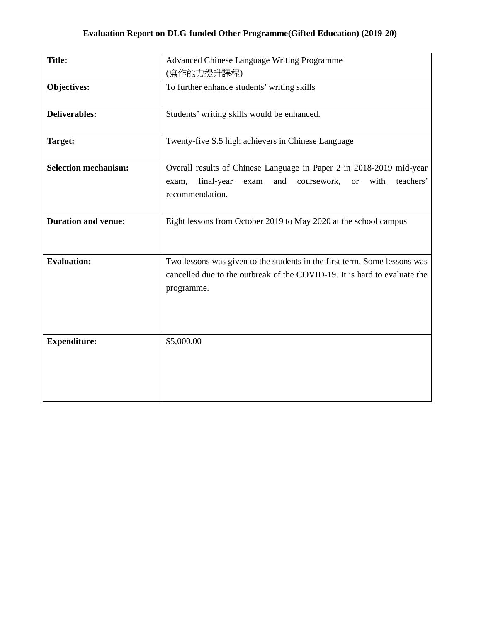| <b>Title:</b>               | <b>Advanced Chinese Language Writing Programme</b><br>(寫作能力提升課程)                                                                                                               |
|-----------------------------|--------------------------------------------------------------------------------------------------------------------------------------------------------------------------------|
| <b>Objectives:</b>          | To further enhance students' writing skills                                                                                                                                    |
| <b>Deliverables:</b>        | Students' writing skills would be enhanced.                                                                                                                                    |
| Target:                     | Twenty-five S.5 high achievers in Chinese Language                                                                                                                             |
| <b>Selection mechanism:</b> | Overall results of Chinese Language in Paper 2 in 2018-2019 mid-year<br>with<br>teachers'<br>final-year<br>and<br>coursework,<br><b>or</b><br>exam,<br>exam<br>recommendation. |
| <b>Duration and venue:</b>  | Eight lessons from October 2019 to May 2020 at the school campus                                                                                                               |
| <b>Evaluation:</b>          | Two lessons was given to the students in the first term. Some lessons was<br>cancelled due to the outbreak of the COVID-19. It is hard to evaluate the<br>programme.           |
| <b>Expenditure:</b>         | \$5,000.00                                                                                                                                                                     |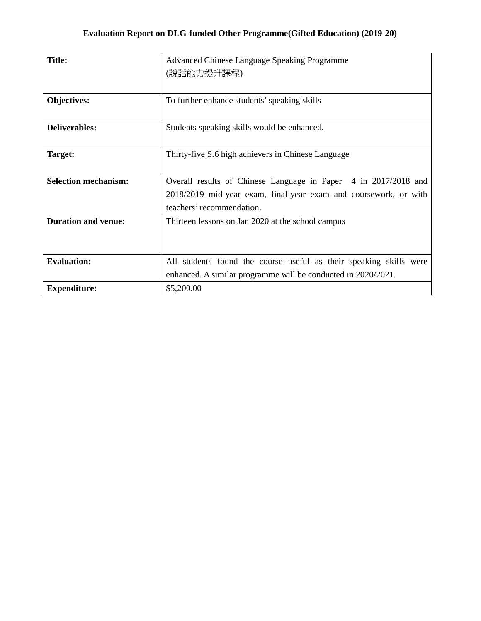| <b>Title:</b>               | Advanced Chinese Language Speaking Programme                       |
|-----------------------------|--------------------------------------------------------------------|
|                             | (說話能力提升課程)                                                         |
|                             |                                                                    |
| Objectives:                 | To further enhance students' speaking skills                       |
|                             |                                                                    |
| <b>Deliverables:</b>        | Students speaking skills would be enhanced.                        |
|                             |                                                                    |
| Target:                     | Thirty-five S.6 high achievers in Chinese Language                 |
| <b>Selection mechanism:</b> | Overall results of Chinese Language in Paper 4 in 2017/2018 and    |
|                             | 2018/2019 mid-year exam, final-year exam and coursework, or with   |
|                             | teachers' recommendation.                                          |
| <b>Duration and venue:</b>  | Thirteen lessons on Jan 2020 at the school campus                  |
|                             |                                                                    |
|                             |                                                                    |
| <b>Evaluation:</b>          | All students found the course useful as their speaking skills were |
|                             | enhanced. A similar programme will be conducted in 2020/2021.      |
| <b>Expenditure:</b>         | \$5,200.00                                                         |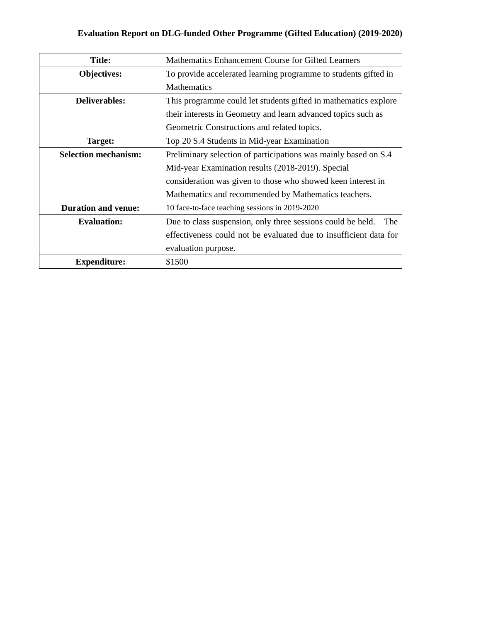## **Evaluation Report on DLG-funded Other Programme (Gifted Education) (2019-2020)**

| <b>Title:</b>               | Mathematics Enhancement Course for Gifted Learners                 |
|-----------------------------|--------------------------------------------------------------------|
| Objectives:                 | To provide accelerated learning programme to students gifted in    |
|                             | <b>Mathematics</b>                                                 |
| <b>Deliverables:</b>        | This programme could let students gifted in mathematics explore    |
|                             | their interests in Geometry and learn advanced topics such as      |
|                             | Geometric Constructions and related topics.                        |
| Target:                     | Top 20 S.4 Students in Mid-year Examination                        |
| <b>Selection mechanism:</b> | Preliminary selection of participations was mainly based on S.4    |
|                             | Mid-year Examination results (2018-2019). Special                  |
|                             | consideration was given to those who showed keen interest in       |
|                             | Mathematics and recommended by Mathematics teachers.               |
| <b>Duration and venue:</b>  | 10 face-to-face teaching sessions in 2019-2020                     |
| <b>Evaluation:</b>          | Due to class suspension, only three sessions could be held.<br>The |
|                             | effectiveness could not be evaluated due to insufficient data for  |
|                             | evaluation purpose.                                                |
| <b>Expenditure:</b>         | \$1500                                                             |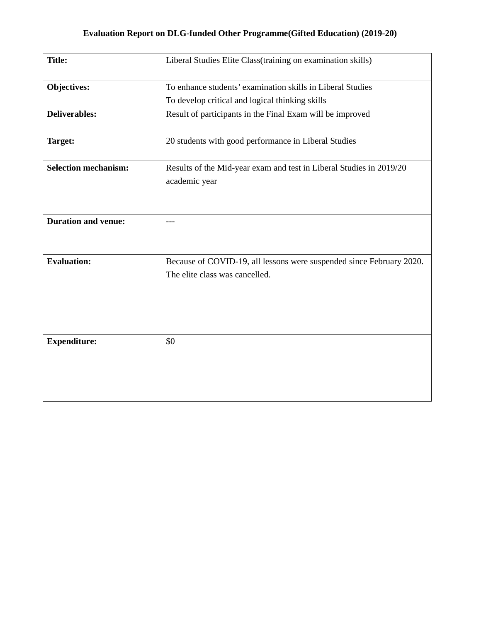| <b>Title:</b>               | Liberal Studies Elite Class(training on examination skills)                                            |
|-----------------------------|--------------------------------------------------------------------------------------------------------|
| Objectives:                 | To enhance students' examination skills in Liberal Studies                                             |
|                             | To develop critical and logical thinking skills                                                        |
| <b>Deliverables:</b>        | Result of participants in the Final Exam will be improved                                              |
| Target:                     | 20 students with good performance in Liberal Studies                                                   |
| <b>Selection mechanism:</b> | Results of the Mid-year exam and test in Liberal Studies in 2019/20<br>academic year                   |
| <b>Duration and venue:</b>  | ---                                                                                                    |
| <b>Evaluation:</b>          | Because of COVID-19, all lessons were suspended since February 2020.<br>The elite class was cancelled. |
| <b>Expenditure:</b>         | \$0                                                                                                    |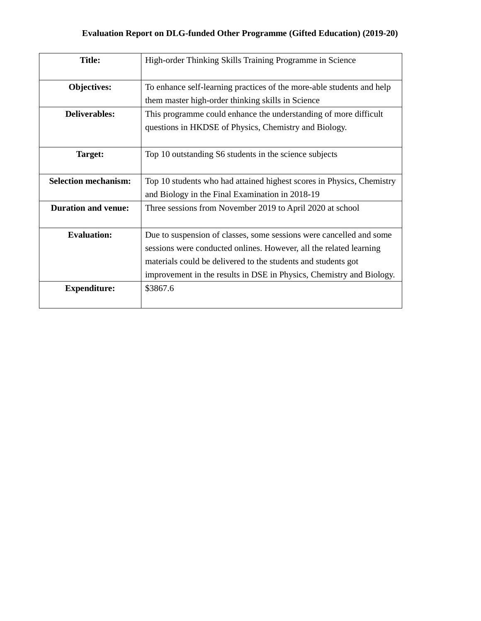| <b>Title:</b>               | High-order Thinking Skills Training Programme in Science              |
|-----------------------------|-----------------------------------------------------------------------|
| Objectives:                 | To enhance self-learning practices of the more-able students and help |
|                             | them master high-order thinking skills in Science                     |
| <b>Deliverables:</b>        | This programme could enhance the understanding of more difficult      |
|                             | questions in HKDSE of Physics, Chemistry and Biology.                 |
|                             |                                                                       |
| Target:                     | Top 10 outstanding S6 students in the science subjects                |
|                             |                                                                       |
| <b>Selection mechanism:</b> | Top 10 students who had attained highest scores in Physics, Chemistry |
|                             | and Biology in the Final Examination in 2018-19                       |
| <b>Duration and venue:</b>  | Three sessions from November 2019 to April 2020 at school             |
|                             |                                                                       |
| <b>Evaluation:</b>          | Due to suspension of classes, some sessions were cancelled and some   |
|                             | sessions were conducted onlines. However, all the related learning    |
|                             | materials could be delivered to the students and students got         |
|                             | improvement in the results in DSE in Physics, Chemistry and Biology.  |
| <b>Expenditure:</b>         | \$3867.6                                                              |
|                             |                                                                       |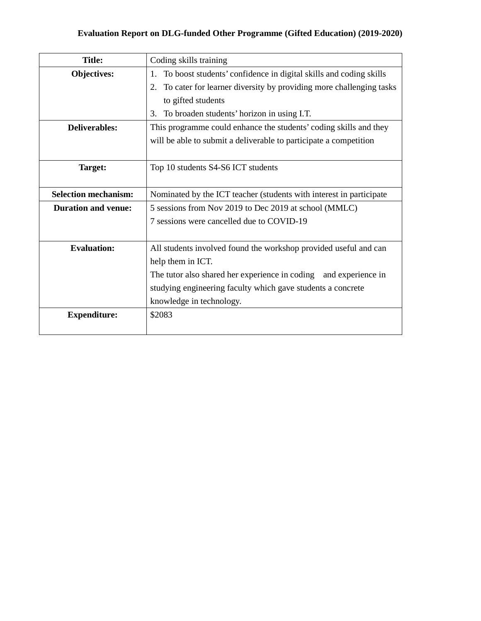## **Evaluation Report on DLG-funded Other Programme (Gifted Education) (2019-2020)**

| <b>Title:</b>               | Coding skills training                                                   |
|-----------------------------|--------------------------------------------------------------------------|
| <b>Objectives:</b>          | To boost students' confidence in digital skills and coding skills<br>1.  |
|                             | To cater for learner diversity by providing more challenging tasks<br>2. |
|                             | to gifted students                                                       |
|                             | To broaden students' horizon in using I.T.<br>3.                         |
| <b>Deliverables:</b>        | This programme could enhance the students' coding skills and they        |
|                             | will be able to submit a deliverable to participate a competition        |
|                             |                                                                          |
| Target:                     | Top 10 students S4-S6 ICT students                                       |
|                             |                                                                          |
| <b>Selection mechanism:</b> | Nominated by the ICT teacher (students with interest in participate      |
| <b>Duration and venue:</b>  | 5 sessions from Nov 2019 to Dec 2019 at school (MMLC)                    |
|                             | 7 sessions were cancelled due to COVID-19                                |
|                             |                                                                          |
| <b>Evaluation:</b>          | All students involved found the workshop provided useful and can         |
|                             | help them in ICT.                                                        |
|                             | The tutor also shared her experience in coding and experience in         |
|                             | studying engineering faculty which gave students a concrete              |
|                             | knowledge in technology.                                                 |
| <b>Expenditure:</b>         | \$2083                                                                   |
|                             |                                                                          |